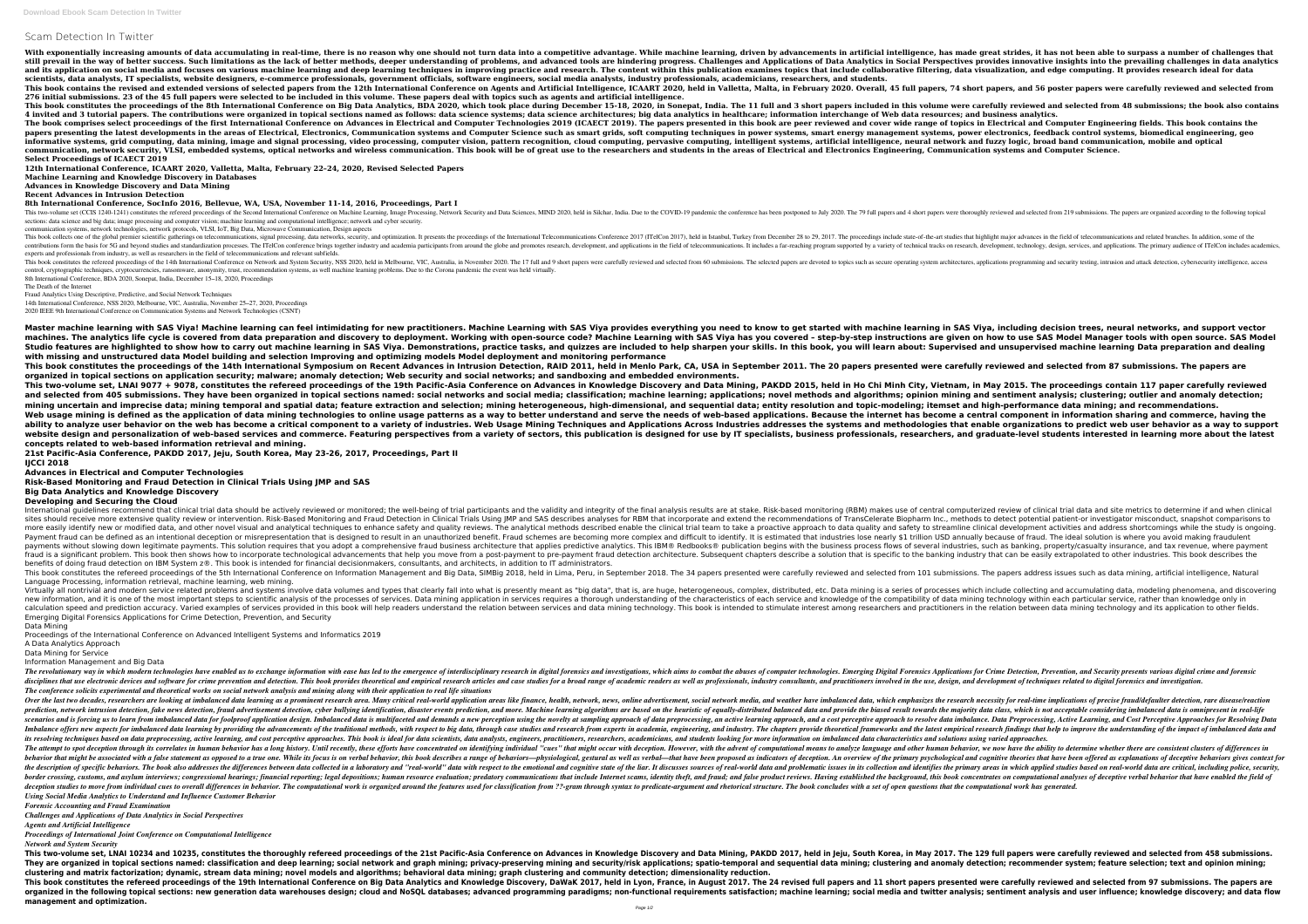# **Scam Detection In Twitter**

With exponentially increasing amounts of data accumulating in real-time, there is no reason why one should not turn data into a competitive advantage. While machine learning, driven by advancements in artificial intelligen still prevail in the way of better success. Such limitations as the lack of better methods, deeper understanding of problems, and advanced tools are hindering progress. Challenges and Applications of Data Analytics in Soci and its application on social media and focuses on various machine learning and deep learning and deep learning techniques in improving practice and research. The content within this publication, and edge computing. It pro **scientists, data analysts, IT specialists, website designers, e-commerce professionals, government officials, software engineers, social media analysts, industry professionals, academicians, researchers, and students.** This book contains the revised and extended versions of selected papers from the 12th International Conference on Agents and Artificial Intelligence, ICAART 2020. Overall, 45 full papers, 74 short papers, and 56 poster pap **276 initial submissions. 23 of the 45 full papers were selected to be included in this volume. These papers deal with topics such as agents and artificial intelligence.** This book constitutes the proceedings of the 8th International Conference on Big Data Analytics, BDA 2020, which took place during December 15-18, 2020, in Sonepat, India. The 11 full and 3 short papers included in this vo 4 invited and 3 tutorial papers. The contributions were organized in topical sections named as follows: data science systems; data science architectures; big data analytics in healthcare; information interchange of Web dat The book comprises select proceedings of the first International Conference on Advances in Electrical and Computer Technologies 2019 (ICAECT 2019). The papers presented in this book are peer reviewed and cover wide range o papers presenting the latest developments in the areas of Electrical, Electronics, Communication systems and Computer Science such as smart energy management systems, power electronics, feedback control systems, biomedical informative systems, grid computing, data mining, image and signal processing, video processing, video processing, computer vision, pattern recognition, cloud computing, intelligent systems, artificial intelligence, neural communication, network security. VLSI, embedded systems, optical networks and wireless communication. This book will be of great use to the researchers and Electrical and Electronics Engineering, Communication systems and **Select Proceedings of ICAECT 2019**

This two-volume set (CCIS 1240-1241) constitutes the refereed proceedings of the Second International Conference on Machine Learning, Image Processing, Network Security and Data Sciences, MIND 2020. The 79 full papers and sections: data science and big data; image processing and computer vision; machine learning and computational intelligence; network and cyber security.

This book collects one of the global premier scientific gatherings on telecommunications, signal processing, data networks, security, and optimization. It presents the proceedings include state-of-the-art studies that high contributions form the basis for 5G and beyond studies and standardization processes. The ITelCon conference brings together industry and academia participants from around the globe and promotes research, development, and experts and professionals from industry, as well as researchers in the field of telecommunications and relevant subfields.

This book constitutes the refereed proceedings of the 14th International Conference on Network and System Security, NSS 2020, held in Melbourne, VIC, Australia, in November 2020. The 17 full and 9 short papers were careful control, cryptographic techniques, cryptocurrencies, ransomware, anonymity, trust, recommendation systems, as well machine learning problems. Due to the Corona pandemic the event was held virtually. 8th International Conference, BDA 2020, Sonepat, India, December 15–18, 2020, Proceedings

**12th International Conference, ICAART 2020, Valletta, Malta, February 22–24, 2020, Revised Selected Papers Machine Learning and Knowledge Discovery in Databases**

**Advances in Knowledge Discovery and Data Mining**

**Recent Advances in Intrusion Detection**

**8th International Conference, SocInfo 2016, Bellevue, WA, USA, November 11-14, 2016, Proceedings, Part I**

communication systems, network technologies, network protocols, VLSI, IoT, Big Data, Microwave Communication, Design aspects

Master machine learning with SAS Viya! Machine learning can feel intimidating for new practitioners. Machine Learning with SAS Viya provides everything you need to know to get started with machine learning in SAS Viya, inc machines. The analytics life cycle is covered from data preparation and discovery to deployment. Working with open-source code? Machine Learning with SAS Viya has you covered - step-by-step instructions are given on how to Studio features are highlighted to show how to carry out machine learning in SAS Viya. Demonstrations, practice tasks, and quizzes are included to help sharpen your skills. In this book, you will learn about: Supervised an **with missing and unstructured data Model building and selection Improving and optimizing models Model deployment and monitoring performance** This book constitutes the proceedings of the 14th International Symposium on Recent Advances in Intrusion Detection, RAID 2011, held in Menlo Park, CA, USA in September 2011. The 20 papers presented were carefully reviewed **organized in topical sections on application security; malware; anomaly detection; Web security and social networks; and sandboxing and embedded environments.** This two-volume set, LNAI 9077 + 9078, constitutes the refereed proceedings of the 19th Pacific-Asia Conference on Advances in Knowledge Discovery and Data Mining, PAKDD 2015, held in Ho Chi Minh City, Vietnam, in May 2015 and selected from 405 submissions. They have been organized in topical sections named: social networks and social networks and algorithms; opinion mining and sentiment analysis; clustering; outlier and anomaly detection; mining uncertain and imprecise data; mining temporal and spatial data; feature extraction and selection; mining heterogeneous, high-dimensional, and topic-modeling; itemset and high-performance data mining; and recommendat Web usage mining is defined as the application of data mining technologies to online usage patterns as a way to better understand and serve the internet has become a central component in information sharing and commerce, h ability to analyze user behavior on the web has become a critical component to a variety of industries. Web Usage Mining Techniques and Applications Across Industries addresses the systems and methodologies that enable org website design and personalization of web-based services and commerce. Featuring perspectives from a variety of sectors, this publication is designed for use by IT specialists, business professionals, researchers, and grad **concepts related to web-based information retrieval and mining.**

The Death of the Internet

International guidelines recommend that clinical trial data should be actively reviewed or monitored; the well-being of trial participants and the validity and integrity of the final analysis results are at stake. Risk-bas sites should receive more extensive quality review or intervention. Risk-Based Monitoring and Fraud Detection in Clinical Trials Using IMP and SAS describes analyses for RBM that incorporate Biopharm Inc., methods to detec more easily identify new or modified data, and other novel visual and analytical techniques to enhance safety and quality reviews. The analytical methods described enable the clinical development activities and address sho Payment fraud can be defined as an intentional deception or misrepresentation that is designed to result in an unauthorized benefit. Fraud schemes are becoming more complex and difficult to identify. It is estimated that i payments without slowing down legitimate payments. This solution requires that you adopt a comprehensive fraud business architecture that applies predictive analytics. This IBM® Redbooks® publication begins with the busine fraud is a significant problem. This book then shows how to incorporate technological advancements that help you move from a post-payment to pre-payment fraud detection architecture. Subsequent chapters describe a solution benefits of doing fraud detection on IBM System z®. This book is intended for financial decisionmakers, consultants, and architects, in addition to IT administrators. This book constitutes the refereed proceedings of the 5th International Conference on Information Management and Big Data, SIMBig 2018, held in Lima, Peru, in September 2018. The 34 papers address issues such as data minin Language Processing, information retrieval, machine learning, web mining.

Fraud Analytics Using Descriptive, Predictive, and Social Network Techniques

14th International Conference, NSS 2020, Melbourne, VIC, Australia, November 25–27, 2020, Proceedings

2020 IEEE 9th International Conference on Communication Systems and Network Technologies (CSNT)

Virtually all nontrivial and modern service related problems and systems involve data volumes and types that clearly fall into what is presently meant as "big data", that is, are huge, heterogeneous, complex, distributed, new information, and it is one of the most important steps to scientific analysis of the processes of services. Data mining application in services requires a thorough understanding of the compatibility of data mining tech calculation speed and prediction accuracy. Varied examples of services provided in this book will help readers understand the relation between services and data mining technology. This book is intended to stimulate interes Emerging Digital Forensics Applications for Crime Detection, Prevention, and Security Data Mining

The revolutionary way in which modern technologies have enabled us to exchange information with ease has led to the emergence of interdisciplinary research in digital Forensics Applications for Crime Detection, Prevention, disciplines that use electronic devices and software for crime prevention and detection. This book provides theoretical and empirical research articles and case studies for a broad range of academic readers involved in the *The conference solicits experimental and theoretical works on social network analysis and mining along with their application to real life situations* Over the last two decades, researchers are looking at imbalanced data learning as a prominent research area. Many critical real-world application areas like finance, health, network, news, online advertisement, social netw prediction, network intrusion detection, fake news detection, fraud advertisement detection, cyber bullying identification, and more. Machine learning algorithms are based result towards the majority data class, which is n scenarios and is forcing us to learn from imbalanced data for foolproof application design. Imbalanced data is multifaceted and demands a new perceptive approach to resolve data imbalance. Data Preprocessing, Active Learni Imbalance offers new aspects for imbalanced data learning by providing the advancements of the traditional methods, with respect to big data, through case studies and the latest empirical research findings that help to imp its resolving techniques based on data preprocessing, active learning, and cost perceptive approaches. This book is ideal for data scientists, data analysts, engineers, practitioners, researchers, academicians, and student The attempt to spot deception through its correlates in human behavior has a long history. Until recently, these efforts have concentrated on identifying individual "cues" that might occur with deception. However, with the behavior that might be associated with a false statement as opposed to a true one. While its focus is on verbal behavior, this book describes a range of behaviors and cognitive the ories that have been offered as explanati the description of specific behaviors. The book also addresses the differences between data collected in a laboratory and "real-world data and problematic issues in its collection and identifies the primary areas in which (nancial reporting; furnal reportions; form interviews; congressional hearings; financial reporting; legal depositions; human resource evaluation; predatory communications that include Internet scams, identity theft, and f deception studies to move from individual cues to overall differences in behavior. The computational work is organized around the features used for classification from ??-gram through syntax to predicate-argument and rheto *Using Social Media Analytics to Understand and Influence Customer Behavior*

**21st Pacific-Asia Conference, PAKDD 2017, Jeju, South Korea, May 23-26, 2017, Proceedings, Part II IJCCI 2018**

**Advances in Electrical and Computer Technologies**

**Risk-Based Monitoring and Fraud Detection in Clinical Trials Using JMP and SAS Big Data Analytics and Knowledge Discovery**

## **Developing and Securing the Cloud**

This two-volume set, LNAI 10234 and 10235, constitutes the thoroughly refereed proceedings of the 21st Pacific-Asia Conference on Advances in Knowledge Discovery and Data Mining, PAKDD 2017. The 129 full papers were carefu They are organized in topical sections named: classification and deep learning; social network and graph mining; privacy-preserving mining, clustering and sequential data mining; clustering and anomaly detection; recommend **clustering and matrix factorization; dynamic, stream data mining; novel models and algorithms; behavioral data mining; graph clustering and community detection; dimensionality reduction.** This book constitutes the refereed proceedings of the 19th International Conference on Big Data Analytics and Knowledge Discovery, DaWaK 2017. The 24 revised full papers and 11 short papers presented were carefully reviewe organized in the following topical sections: new generation data warehouses design; cloud and NoSQL databases; advanced programming paradigms; non-functional requirements satisfaction; machine learning; social media and tw **management and optimization.**

Proceedings of the International Conference on Advanced Intelligent Systems and Informatics 2019

A Data Analytics Approach

Data Mining for Service

Information Management and Big Data

*Forensic Accounting and Fraud Examination*

*Challenges and Applications of Data Analytics in Social Perspectives*

*Agents and Artificial Intelligence*

*Proceedings of International Joint Conference on Computational Intelligence*

*Network and System Security*